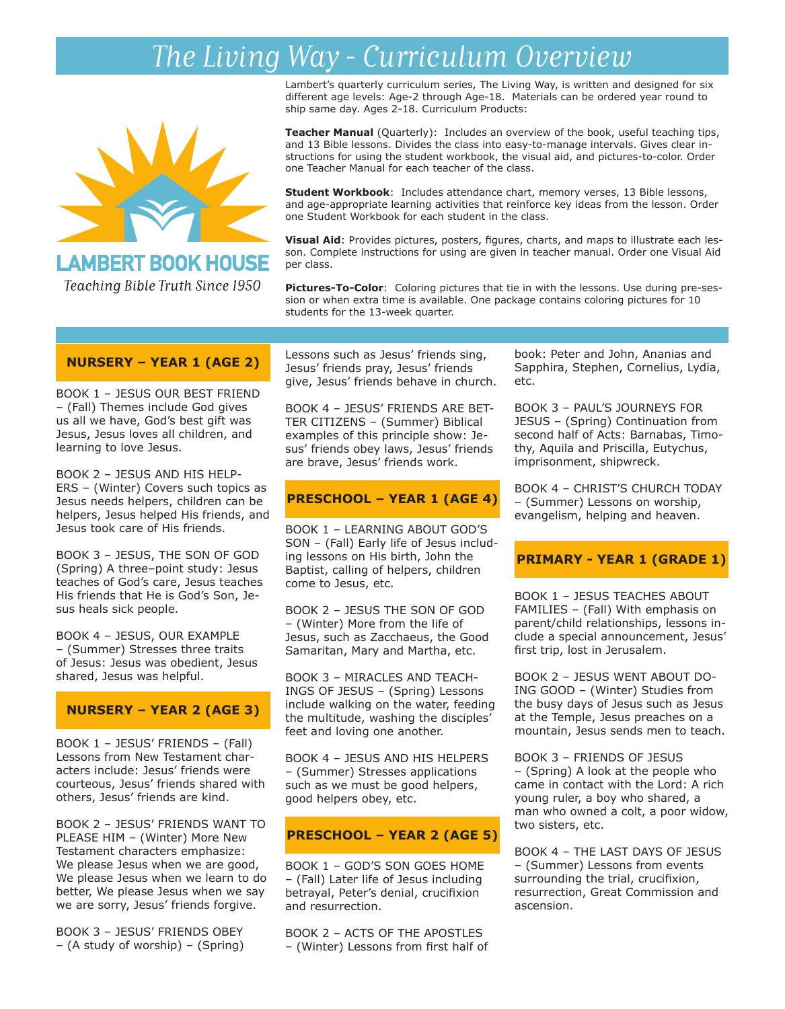# *The Living Way - Curriculum Overview*



## **LAMBERT BOOK HOUSE**

Teaching Bible Truth Since 1950

Lambert's quarterly curriculum series, The Living Way, is written and designed for six different age levels: Age-2 through Age-18. Materials can be ordered year round to ship same day. Ages 2-18. Curriculum Products:

**Teacher Manual** (Quarterly): Includes an overview of the book, useful teaching tips, and 13 Bible lessons. Divides the class into easy-to-manage intervals. Gives clear instructions for using the student workbook, the visual aid, and pictures-to-color. Order one Teacher Manual for each teacher of the class.

**Student Workbook**: Includes attendance chart, memory verses, 13 Bible lessons, and age-appropriate learning activities that reinforce key ideas from the lesson. Order one Student Workbook for each student in the class.

**Visual Aid**: Provides pictures, posters, figures, charts, and maps to illustrate each lesson. Complete instructions for using are given in teacher manual. Order one Visual Aid per class.

**Pictures-To-Color**: Coloring pictures that tie in with the lessons. Use during pre-session or when extra time is available. One package contains coloring pictures for 10 students for the 13-week quarter.

### **NURSERY – YEAR 1 (AGE 2)**

BOOK 1 – JESUS OUR BEST FRIEND – (Fall) Themes include God gives us all we have, God's best gift was Jesus, Jesus loves all children, and learning to love Jesus.

BOOK 2 – JESUS AND HIS HELP-ERS – (Winter) Covers such topics as Jesus needs helpers, children can be helpers, Jesus helped His friends, and Jesus took care of His friends.

BOOK 3 – JESUS, THE SON OF GOD (Spring) A three–point study: Jesus teaches of God's care, Jesus teaches His friends that He is God's Son, Jesus heals sick people.

BOOK 4 – JESUS, OUR EXAMPLE – (Summer) Stresses three traits of Jesus: Jesus was obedient, Jesus shared, Jesus was helpful.

#### **NURSERY – YEAR 2 (AGE 3)**

BOOK 1 – JESUS' FRIENDS – (Fall) Lessons from New Testament characters include: Jesus' friends were courteous, Jesus' friends shared with others, Jesus' friends are kind.

BOOK 2 – JESUS' FRIENDS WANT TO PLEASE HIM – (Winter) More New Testament characters emphasize: We please Jesus when we are good, We please Jesus when we learn to do better, We please Jesus when we say we are sorry, Jesus' friends forgive.

BOOK 3 – JESUS' FRIENDS OBEY – (A study of worship) – (Spring) Lessons such as Jesus' friends sing, Jesus' friends pray, Jesus' friends give, Jesus' friends behave in church.

BOOK 4 – JESUS' FRIENDS ARE BET-TER CITIZENS – (Summer) Biblical examples of this principle show: Jesus' friends obey laws, Jesus' friends are brave, Jesus' friends work.

## **PRESCHOOL – YEAR 1 (AGE 4)**

BOOK 1 – LEARNING ABOUT GOD'S SON – (Fall) Early life of Jesus including lessons on His birth, John the Baptist, calling of helpers, children come to Jesus, etc.

BOOK 2 – JESUS THE SON OF GOD – (Winter) More from the life of Jesus, such as Zacchaeus, the Good Samaritan, Mary and Martha, etc.

BOOK 3 – MIRACLES AND TEACH-INGS OF JESUS – (Spring) Lessons include walking on the water, feeding the multitude, washing the disciples' feet and loving one another.

BOOK 4 – JESUS AND HIS HELPERS – (Summer) Stresses applications such as we must be good helpers, good helpers obey, etc.

#### **PRESCHOOL – YEAR 2 (AGE 5)**

BOOK 1 – GOD'S SON GOES HOME – (Fall) Later life of Jesus including betrayal, Peter's denial, crucifixion and resurrection.

BOOK 2 – ACTS OF THE APOSTLES – (Winter) Lessons from first half of

book: Peter and John, Ananias and Sapphira, Stephen, Cornelius, Lydia, etc.

BOOK 3 – PAUL'S JOURNEYS FOR JESUS – (Spring) Continuation from second half of Acts: Barnabas, Timothy, Aquila and Priscilla, Eutychus, imprisonment, shipwreck.

BOOK 4 – CHRIST'S CHURCH TODAY – (Summer) Lessons on worship, evangelism, helping and heaven.

#### **PRIMARY - YEAR 1 (GRADE 1)**

BOOK 1 – JESUS TEACHES ABOUT FAMILIES – (Fall) With emphasis on parent/child relationships, lessons include a special announcement, Jesus' first trip, lost in Jerusalem.

BOOK 2 – JESUS WENT ABOUT DO-ING GOOD – (Winter) Studies from the busy days of Jesus such as Jesus at the Temple, Jesus preaches on a mountain, Jesus sends men to teach.

BOOK 3 – FRIENDS OF JESUS – (Spring) A look at the people who came in contact with the Lord: A rich young ruler, a boy who shared, a man who owned a colt, a poor widow, two sisters, etc.

BOOK 4 – THE LAST DAYS OF JESUS – (Summer) Lessons from events surrounding the trial, crucifixion, resurrection, Great Commission and ascension.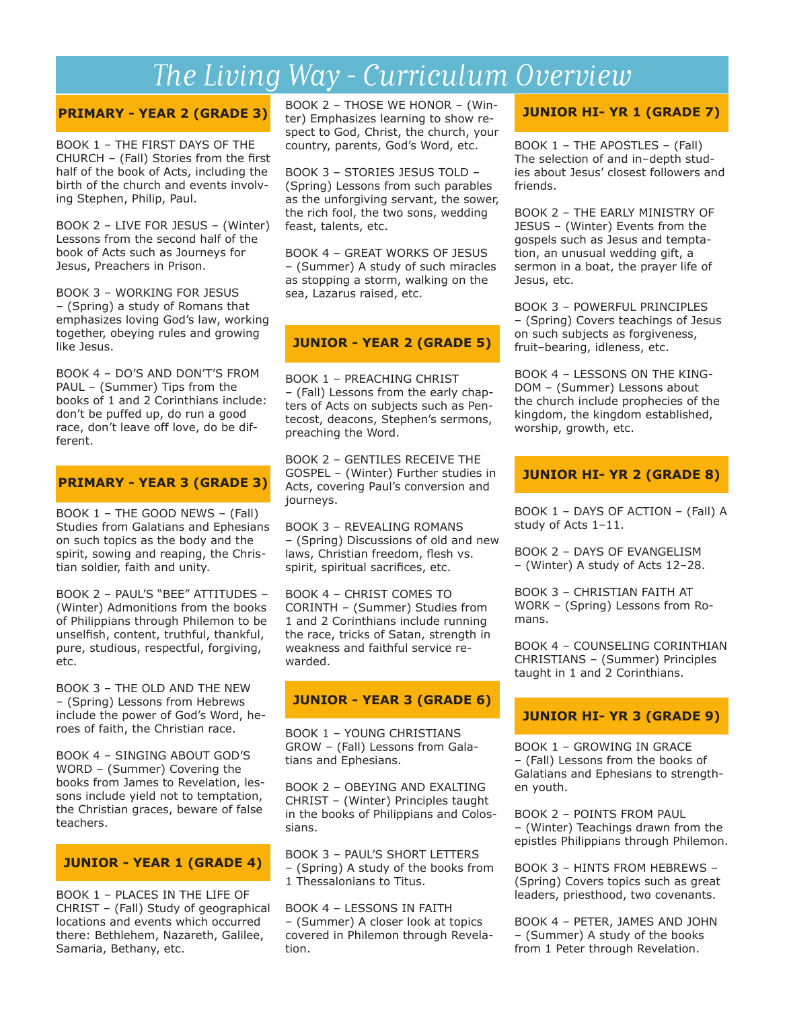## *The Living Way - Curriculum Overview*

#### **PRIMARY - YEAR 2 (GRADE 3)**

BOOK 1 – THE FIRST DAYS OF THE CHURCH – (Fall) Stories from the first half of the book of Acts, including the birth of the church and events involving Stephen, Philip, Paul.

BOOK 2 – LIVE FOR JESUS – (Winter) Lessons from the second half of the book of Acts such as Journeys for Jesus, Preachers in Prison.

BOOK 3 – WORKING FOR JESUS – (Spring) a study of Romans that emphasizes loving God's law, working together, obeying rules and growing like Jesus.

BOOK 4 – DO'S AND DON'T'S FROM PAUL – (Summer) Tips from the books of 1 and 2 Corinthians include: don't be puffed up, do run a good race, don't leave off love, do be different.

### **PRIMARY - YEAR 3 (GRADE 3)**

BOOK 1 – THE GOOD NEWS – (Fall) Studies from Galatians and Ephesians on such topics as the body and the spirit, sowing and reaping, the Christian soldier, faith and unity.

BOOK 2 – PAUL'S "BEE" ATTITUDES – (Winter) Admonitions from the books of Philippians through Philemon to be unselfish, content, truthful, thankful, pure, studious, respectful, forgiving, etc.

BOOK 3 – THE OLD AND THE NEW – (Spring) Lessons from Hebrews include the power of God's Word, heroes of faith, the Christian race.

BOOK 4 – SINGING ABOUT GOD'S WORD – (Summer) Covering the books from James to Revelation, lessons include yield not to temptation, the Christian graces, beware of false teachers.

#### **JUNIOR - YEAR 1 (GRADE 4)**

BOOK 1 – PLACES IN THE LIFE OF CHRIST – (Fall) Study of geographical locations and events which occurred there: Bethlehem, Nazareth, Galilee, Samaria, Bethany, etc.

BOOK 2 – THOSE WE HONOR – (Winter) Emphasizes learning to show respect to God, Christ, the church, your country, parents, God's Word, etc.

BOOK 3 – STORIES JESUS TOLD – (Spring) Lessons from such parables as the unforgiving servant, the sower, the rich fool, the two sons, wedding feast, talents, etc.

BOOK 4 – GREAT WORKS OF JESUS – (Summer) A study of such miracles as stopping a storm, walking on the sea, Lazarus raised, etc.

## **JUNIOR - YEAR 2 (GRADE 5)**

BOOK 1 – PREACHING CHRIST – (Fall) Lessons from the early chapters of Acts on subjects such as Pentecost, deacons, Stephen's sermons, preaching the Word.

BOOK 2 – GENTILES RECEIVE THE GOSPEL – (Winter) Further studies in Acts, covering Paul's conversion and journeys.

BOOK 3 – REVEALING ROMANS – (Spring) Discussions of old and new laws, Christian freedom, flesh vs. spirit, spiritual sacrifices, etc.

BOOK 4 – CHRIST COMES TO CORINTH – (Summer) Studies from 1 and 2 Corinthians include running the race, tricks of Satan, strength in weakness and faithful service rewarded.

## **JUNIOR - YEAR 3 (GRADE 6)**

BOOK 1 – YOUNG CHRISTIANS GROW – (Fall) Lessons from Galatians and Ephesians.

BOOK 2 – OBEYING AND EXALTING CHRIST – (Winter) Principles taught in the books of Philippians and Colossians.

BOOK 3 – PAUL'S SHORT LETTERS – (Spring) A study of the books from 1 Thessalonians to Titus.

BOOK 4 – LESSONS IN FAITH – (Summer) A closer look at topics covered in Philemon through Revelation.

## **JUNIOR HI- YR 1 (GRADE 7)**

BOOK 1 – THE APOSTLES – (Fall) The selection of and in–depth studies about Jesus' closest followers and friends.

BOOK 2 – THE EARLY MINISTRY OF JESUS – (Winter) Events from the gospels such as Jesus and temptation, an unusual wedding gift, a sermon in a boat, the prayer life of Jesus, etc.

BOOK 3 – POWERFUL PRINCIPLES – (Spring) Covers teachings of Jesus on such subjects as forgiveness, fruit–bearing, idleness, etc.

BOOK 4 – LESSONS ON THE KING-DOM – (Summer) Lessons about the church include prophecies of the kingdom, the kingdom established, worship, growth, etc.

### **JUNIOR HI- YR 2 (GRADE 8)**

BOOK 1 – DAYS OF ACTION – (Fall) A study of Acts 1–11.

BOOK 2 – DAYS OF EVANGELISM – (Winter) A study of Acts 12–28.

BOOK 3 – CHRISTIAN FAITH AT WORK – (Spring) Lessons from Romans.

BOOK 4 – COUNSELING CORINTHIAN CHRISTIANS – (Summer) Principles taught in 1 and 2 Corinthians.

## **JUNIOR HI- YR 3 (GRADE 9)**

BOOK 1 – GROWING IN GRACE – (Fall) Lessons from the books of Galatians and Ephesians to strengthen youth.

BOOK 2 – POINTS FROM PAUL – (Winter) Teachings drawn from the epistles Philippians through Philemon.

BOOK 3 – HINTS FROM HEBREWS – (Spring) Covers topics such as great leaders, priesthood, two covenants.

BOOK 4 – PETER, JAMES AND JOHN – (Summer) A study of the books from 1 Peter through Revelation.